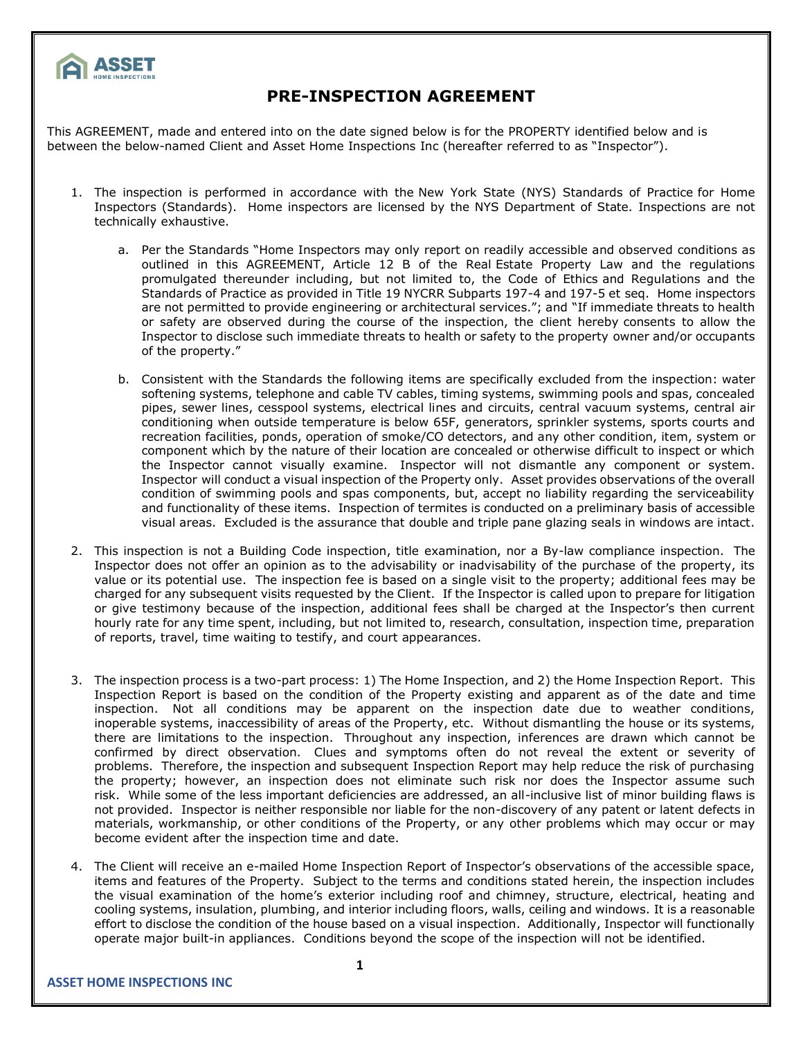

## **PRE-INSPECTION AGREEMENT**

This AGREEMENT, made and entered into on the date signed below is for the PROPERTY identified below and is between the below-named Client and Asset Home Inspections Inc (hereafter referred to as "Inspector").

- 1. The inspection is performed in accordance with the New York State (NYS) Standards of Practice for Home Inspectors (Standards). Home inspectors are licensed by the NYS Department of State. Inspections are not technically exhaustive.
	- a. Per the Standards "Home Inspectors may only report on readily accessible and observed conditions as outlined in this AGREEMENT, Article 12 B of the Real Estate Property Law and the regulations promulgated thereunder including, but not limited to, the Code of Ethics and Regulations and the Standards of Practice as provided in Title 19 NYCRR Subparts 197-4 and 197-5 et seq. Home inspectors are not permitted to provide engineering or architectural services."; and "If immediate threats to health or safety are observed during the course of the inspection, the client hereby consents to allow the Inspector to disclose such immediate threats to health or safety to the property owner and/or occupants of the property."
	- b. Consistent with the Standards the following items are specifically excluded from the inspection: water softening systems, telephone and cable TV cables, timing systems, swimming pools and spas, concealed pipes, sewer lines, cesspool systems, electrical lines and circuits, central vacuum systems, central air conditioning when outside temperature is below 65F, generators, sprinkler systems, sports courts and recreation facilities, ponds, operation of smoke/CO detectors, and any other condition, item, system or component which by the nature of their location are concealed or otherwise difficult to inspect or which the Inspector cannot visually examine. Inspector will not dismantle any component or system. Inspector will conduct a visual inspection of the Property only. Asset provides observations of the overall condition of swimming pools and spas components, but, accept no liability regarding the serviceability and functionality of these items. Inspection of termites is conducted on a preliminary basis of accessible visual areas. Excluded is the assurance that double and triple pane glazing seals in windows are intact.
- 2. This inspection is not a Building Code inspection, title examination, nor a By-law compliance inspection. The Inspector does not offer an opinion as to the advisability or inadvisability of the purchase of the property, its value or its potential use. The inspection fee is based on a single visit to the property; additional fees may be charged for any subsequent visits requested by the Client. If the Inspector is called upon to prepare for litigation or give testimony because of the inspection, additional fees shall be charged at the Inspector's then current hourly rate for any time spent, including, but not limited to, research, consultation, inspection time, preparation of reports, travel, time waiting to testify, and court appearances.
- 3. The inspection process is a two-part process: 1) The Home Inspection, and 2) the Home Inspection Report. This Inspection Report is based on the condition of the Property existing and apparent as of the date and time inspection. Not all conditions may be apparent on the inspection date due to weather conditions, inoperable systems, inaccessibility of areas of the Property, etc. Without dismantling the house or its systems, there are limitations to the inspection. Throughout any inspection, inferences are drawn which cannot be confirmed by direct observation. Clues and symptoms often do not reveal the extent or severity of problems. Therefore, the inspection and subsequent Inspection Report may help reduce the risk of purchasing the property; however, an inspection does not eliminate such risk nor does the Inspector assume such risk. While some of the less important deficiencies are addressed, an all-inclusive list of minor building flaws is not provided. Inspector is neither responsible nor liable for the non-discovery of any patent or latent defects in materials, workmanship, or other conditions of the Property, or any other problems which may occur or may become evident after the inspection time and date.
- 4. The Client will receive an e-mailed Home Inspection Report of Inspector's observations of the accessible space, items and features of the Property. Subject to the terms and conditions stated herein, the inspection includes the visual examination of the home's exterior including roof and chimney, structure, electrical, heating and cooling systems, insulation, plumbing, and interior including floors, walls, ceiling and windows. It is a reasonable effort to disclose the condition of the house based on a visual inspection. Additionally, Inspector will functionally operate major built-in appliances. Conditions beyond the scope of the inspection will not be identified.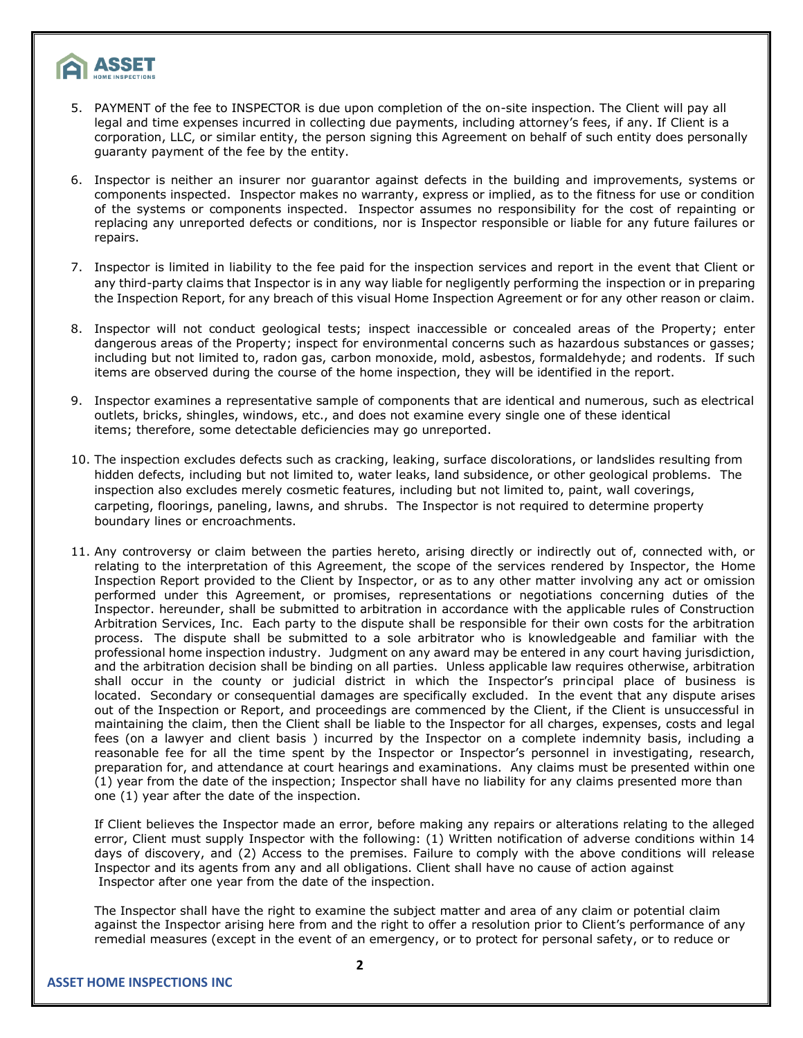

- 5. PAYMENT of the fee to INSPECTOR is due upon completion of the on-site inspection. The Client will pay all legal and time expenses incurred in collecting due payments, including attorney's fees, if any. If Client is a corporation, LLC, or similar entity, the person signing this Agreement on behalf of such entity does personally guaranty payment of the fee by the entity.
- 6. Inspector is neither an insurer nor guarantor against defects in the building and improvements, systems or components inspected. Inspector makes no warranty, express or implied, as to the fitness for use or condition of the systems or components inspected. Inspector assumes no responsibility for the cost of repainting or replacing any unreported defects or conditions, nor is Inspector responsible or liable for any future failures or repairs.
- 7. Inspector is limited in liability to the fee paid for the inspection services and report in the event that Client or any third-party claims that Inspector is in any way liable for negligently performing the inspection or in preparing the Inspection Report, for any breach of this visual Home Inspection Agreement or for any other reason or claim.
- 8. Inspector will not conduct geological tests; inspect inaccessible or concealed areas of the Property; enter dangerous areas of the Property; inspect for environmental concerns such as hazardous substances or gasses; including but not limited to, radon gas, carbon monoxide, mold, asbestos, formaldehyde; and rodents. If such items are observed during the course of the home inspection, they will be identified in the report.
- 9. Inspector examines a representative sample of components that are identical and numerous, such as electrical outlets, bricks, shingles, windows, etc., and does not examine every single one of these identical items; therefore, some detectable deficiencies may go unreported.
- 10. The inspection excludes defects such as cracking, leaking, surface discolorations, or landslides resulting from hidden defects, including but not limited to, water leaks, land subsidence, or other geological problems. The inspection also excludes merely cosmetic features, including but not limited to, paint, wall coverings, carpeting, floorings, paneling, lawns, and shrubs. The Inspector is not required to determine property boundary lines or encroachments.
- 11. Any controversy or claim between the parties hereto, arising directly or indirectly out of, connected with, or relating to the interpretation of this Agreement, the scope of the services rendered by Inspector, the Home Inspection Report provided to the Client by Inspector, or as to any other matter involving any act or omission performed under this Agreement, or promises, representations or negotiations concerning duties of the Inspector. hereunder, shall be submitted to arbitration in accordance with the applicable rules of Construction Arbitration Services, Inc. Each party to the dispute shall be responsible for their own costs for the arbitration process. The dispute shall be submitted to a sole arbitrator who is knowledgeable and familiar with the professional home inspection industry. Judgment on any award may be entered in any court having jurisdiction, and the arbitration decision shall be binding on all parties. Unless applicable law requires otherwise, arbitration shall occur in the county or judicial district in which the Inspector's principal place of business is located. Secondary or consequential damages are specifically excluded. In the event that any dispute arises out of the Inspection or Report, and proceedings are commenced by the Client, if the Client is unsuccessful in maintaining the claim, then the Client shall be liable to the Inspector for all charges, expenses, costs and legal fees (on a lawyer and client basis ) incurred by the Inspector on a complete indemnity basis, including a reasonable fee for all the time spent by the Inspector or Inspector's personnel in investigating, research, preparation for, and attendance at court hearings and examinations. Any claims must be presented within one (1) year from the date of the inspection; Inspector shall have no liability for any claims presented more than one (1) year after the date of the inspection.

If Client believes the Inspector made an error, before making any repairs or alterations relating to the alleged error, Client must supply Inspector with the following: (1) Written notification of adverse conditions within 14 days of discovery, and (2) Access to the premises. Failure to comply with the above conditions will release Inspector and its agents from any and all obligations. Client shall have no cause of action against Inspector after one year from the date of the inspection.

The Inspector shall have the right to examine the subject matter and area of any claim or potential claim against the Inspector arising here from and the right to offer a resolution prior to Client's performance of any remedial measures (except in the event of an emergency, or to protect for personal safety, or to reduce or